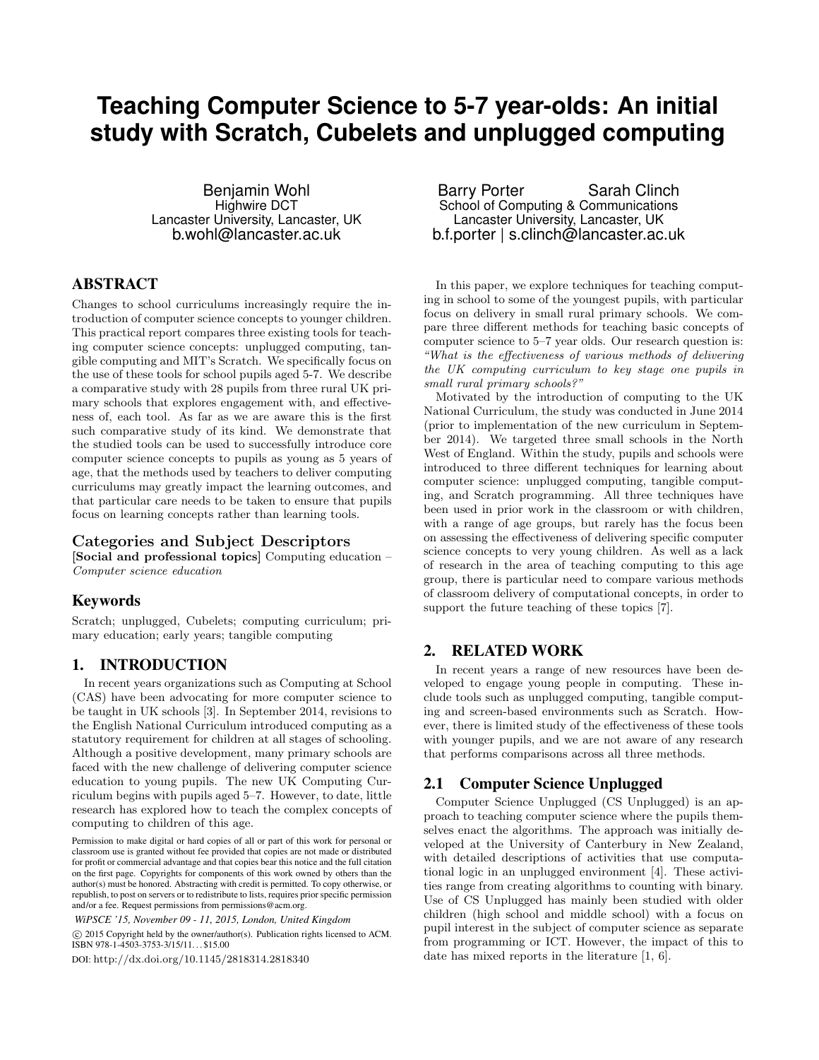# **Teaching Computer Science to 5-7 year-olds: An initial study with Scratch, Cubelets and unplugged computing**

Benjamin Wohl Highwire DCT Lancaster University, Lancaster, UK b.wohl@lancaster.ac.uk

## ABSTRACT

Changes to school curriculums increasingly require the introduction of computer science concepts to younger children. This practical report compares three existing tools for teaching computer science concepts: unplugged computing, tangible computing and MIT's Scratch. We specifically focus on the use of these tools for school pupils aged 5-7. We describe a comparative study with 28 pupils from three rural UK primary schools that explores engagement with, and effectiveness of, each tool. As far as we are aware this is the first such comparative study of its kind. We demonstrate that the studied tools can be used to successfully introduce core computer science concepts to pupils as young as 5 years of age, that the methods used by teachers to deliver computing curriculums may greatly impact the learning outcomes, and that particular care needs to be taken to ensure that pupils focus on learning concepts rather than learning tools.

#### Categories and Subject Descriptors

[Social and professional topics] Computing education – Computer science education

## Keywords

Scratch; unplugged, Cubelets; computing curriculum; primary education; early years; tangible computing

## 1. INTRODUCTION

In recent years organizations such as Computing at School (CAS) have been advocating for more computer science to be taught in UK schools [3]. In September 2014, revisions to the English National Curriculum introduced computing as a statutory requirement for children at all stages of schooling. Although a positive development, many primary schools are faced with the new challenge of delivering computer science education to young pupils. The new UK Computing Curriculum begins with pupils aged 5–7. However, to date, little research has explored how to teach the complex concepts of computing to children of this age.

*WiPSCE '15, November 09 - 11, 2015, London, United Kingdom* c 2015 Copyright held by the owner/author(s). Publication rights licensed to ACM. ISBN 978-1-4503-3753-3/15/11. . . \$15.00

DOI: http://dx.doi.org/10.1145/2818314.2818340

Barry Porter Sarah Clinch School of Computing & Communications Lancaster University, Lancaster, UK b.f.porter | s.clinch@lancaster.ac.uk

In this paper, we explore techniques for teaching computing in school to some of the youngest pupils, with particular focus on delivery in small rural primary schools. We compare three different methods for teaching basic concepts of computer science to 5–7 year olds. Our research question is: "What is the effectiveness of various methods of delivering the UK computing curriculum to key stage one pupils in small rural primary schools?"

Motivated by the introduction of computing to the UK National Curriculum, the study was conducted in June 2014 (prior to implementation of the new curriculum in September 2014). We targeted three small schools in the North West of England. Within the study, pupils and schools were introduced to three different techniques for learning about computer science: unplugged computing, tangible computing, and Scratch programming. All three techniques have been used in prior work in the classroom or with children, with a range of age groups, but rarely has the focus been on assessing the effectiveness of delivering specific computer science concepts to very young children. As well as a lack of research in the area of teaching computing to this age group, there is particular need to compare various methods of classroom delivery of computational concepts, in order to support the future teaching of these topics [7].

## 2. RELATED WORK

In recent years a range of new resources have been developed to engage young people in computing. These include tools such as unplugged computing, tangible computing and screen-based environments such as Scratch. However, there is limited study of the effectiveness of these tools with younger pupils, and we are not aware of any research that performs comparisons across all three methods.

## 2.1 Computer Science Unplugged

Computer Science Unplugged (CS Unplugged) is an approach to teaching computer science where the pupils themselves enact the algorithms. The approach was initially developed at the University of Canterbury in New Zealand, with detailed descriptions of activities that use computational logic in an unplugged environment [4]. These activities range from creating algorithms to counting with binary. Use of CS Unplugged has mainly been studied with older children (high school and middle school) with a focus on pupil interest in the subject of computer science as separate from programming or ICT. However, the impact of this to date has mixed reports in the literature [1, 6].

Permission to make digital or hard copies of all or part of this work for personal or classroom use is granted without fee provided that copies are not made or distributed for profit or commercial advantage and that copies bear this notice and the full citation on the first page. Copyrights for components of this work owned by others than the author(s) must be honored. Abstracting with credit is permitted. To copy otherwise, or republish, to post on servers or to redistribute to lists, requires prior specific permission and/or a fee. Request permissions from permissions@acm.org.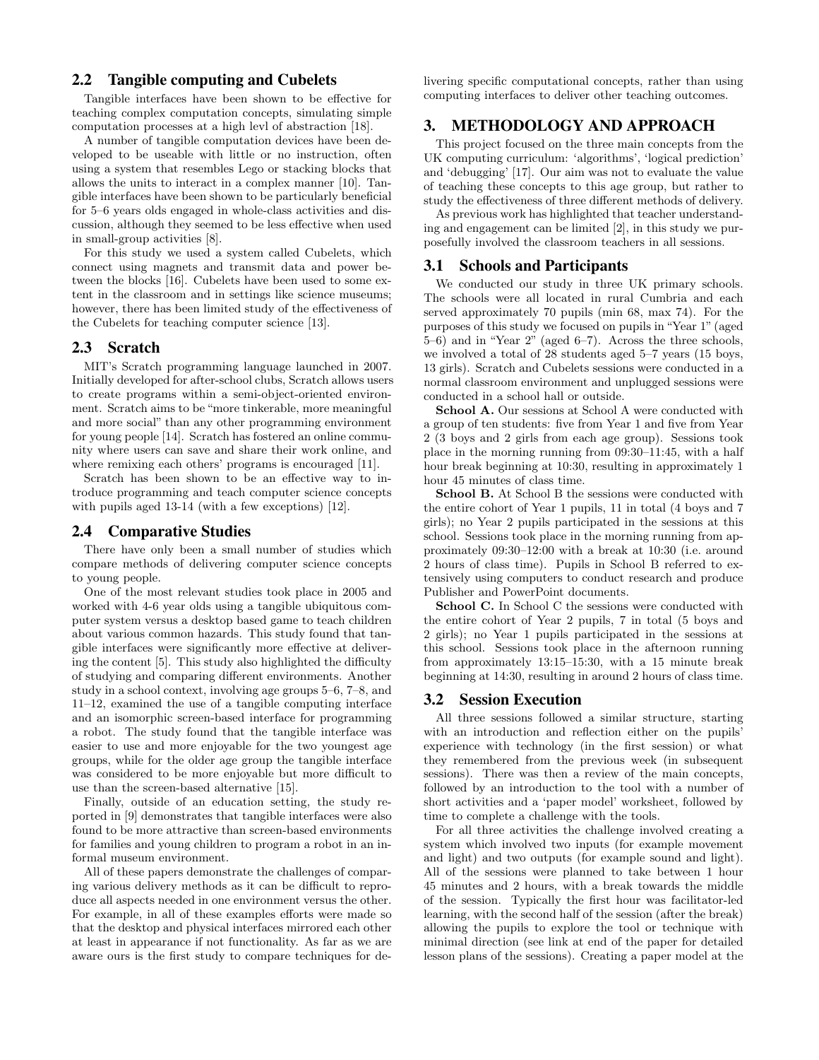## 2.2 Tangible computing and Cubelets

Tangible interfaces have been shown to be effective for teaching complex computation concepts, simulating simple computation processes at a high levl of abstraction [18].

A number of tangible computation devices have been developed to be useable with little or no instruction, often using a system that resembles Lego or stacking blocks that allows the units to interact in a complex manner [10]. Tangible interfaces have been shown to be particularly beneficial for 5–6 years olds engaged in whole-class activities and discussion, although they seemed to be less effective when used in small-group activities [8].

For this study we used a system called Cubelets, which connect using magnets and transmit data and power between the blocks [16]. Cubelets have been used to some extent in the classroom and in settings like science museums; however, there has been limited study of the effectiveness of the Cubelets for teaching computer science [13].

#### 2.3 Scratch

MIT's Scratch programming language launched in 2007. Initially developed for after-school clubs, Scratch allows users to create programs within a semi-object-oriented environment. Scratch aims to be "more tinkerable, more meaningful and more social" than any other programming environment for young people [14]. Scratch has fostered an online community where users can save and share their work online, and where remixing each others' programs is encouraged [11].

Scratch has been shown to be an effective way to introduce programming and teach computer science concepts with pupils aged 13-14 (with a few exceptions) [12].

#### 2.4 Comparative Studies

There have only been a small number of studies which compare methods of delivering computer science concepts to young people.

One of the most relevant studies took place in 2005 and worked with 4-6 year olds using a tangible ubiquitous computer system versus a desktop based game to teach children about various common hazards. This study found that tangible interfaces were significantly more effective at delivering the content [5]. This study also highlighted the difficulty of studying and comparing different environments. Another study in a school context, involving age groups 5–6, 7–8, and 11–12, examined the use of a tangible computing interface and an isomorphic screen-based interface for programming a robot. The study found that the tangible interface was easier to use and more enjoyable for the two youngest age groups, while for the older age group the tangible interface was considered to be more enjoyable but more difficult to use than the screen-based alternative [15].

Finally, outside of an education setting, the study reported in [9] demonstrates that tangible interfaces were also found to be more attractive than screen-based environments for families and young children to program a robot in an informal museum environment.

All of these papers demonstrate the challenges of comparing various delivery methods as it can be difficult to reproduce all aspects needed in one environment versus the other. For example, in all of these examples efforts were made so that the desktop and physical interfaces mirrored each other at least in appearance if not functionality. As far as we are aware ours is the first study to compare techniques for delivering specific computational concepts, rather than using computing interfaces to deliver other teaching outcomes.

#### 3. METHODOLOGY AND APPROACH

This project focused on the three main concepts from the UK computing curriculum: 'algorithms', 'logical prediction' and 'debugging' [17]. Our aim was not to evaluate the value of teaching these concepts to this age group, but rather to study the effectiveness of three different methods of delivery.

As previous work has highlighted that teacher understanding and engagement can be limited [2], in this study we purposefully involved the classroom teachers in all sessions.

#### 3.1 Schools and Participants

We conducted our study in three UK primary schools. The schools were all located in rural Cumbria and each served approximately 70 pupils (min 68, max 74). For the purposes of this study we focused on pupils in "Year 1" (aged 5–6) and in "Year 2" (aged 6–7). Across the three schools, we involved a total of 28 students aged 5–7 years (15 boys, 13 girls). Scratch and Cubelets sessions were conducted in a normal classroom environment and unplugged sessions were conducted in a school hall or outside.

School A. Our sessions at School A were conducted with a group of ten students: five from Year 1 and five from Year 2 (3 boys and 2 girls from each age group). Sessions took place in the morning running from 09:30–11:45, with a half hour break beginning at 10:30, resulting in approximately 1 hour 45 minutes of class time.

School B. At School B the sessions were conducted with the entire cohort of Year 1 pupils, 11 in total (4 boys and 7 girls); no Year 2 pupils participated in the sessions at this school. Sessions took place in the morning running from approximately 09:30–12:00 with a break at 10:30 (i.e. around 2 hours of class time). Pupils in School B referred to extensively using computers to conduct research and produce Publisher and PowerPoint documents.

School C. In School C the sessions were conducted with the entire cohort of Year 2 pupils, 7 in total (5 boys and 2 girls); no Year 1 pupils participated in the sessions at this school. Sessions took place in the afternoon running from approximately 13:15–15:30, with a 15 minute break beginning at 14:30, resulting in around 2 hours of class time.

#### 3.2 Session Execution

All three sessions followed a similar structure, starting with an introduction and reflection either on the pupils' experience with technology (in the first session) or what they remembered from the previous week (in subsequent sessions). There was then a review of the main concepts, followed by an introduction to the tool with a number of short activities and a 'paper model' worksheet, followed by time to complete a challenge with the tools.

For all three activities the challenge involved creating a system which involved two inputs (for example movement and light) and two outputs (for example sound and light). All of the sessions were planned to take between 1 hour 45 minutes and 2 hours, with a break towards the middle of the session. Typically the first hour was facilitator-led learning, with the second half of the session (after the break) allowing the pupils to explore the tool or technique with minimal direction (see link at end of the paper for detailed lesson plans of the sessions). Creating a paper model at the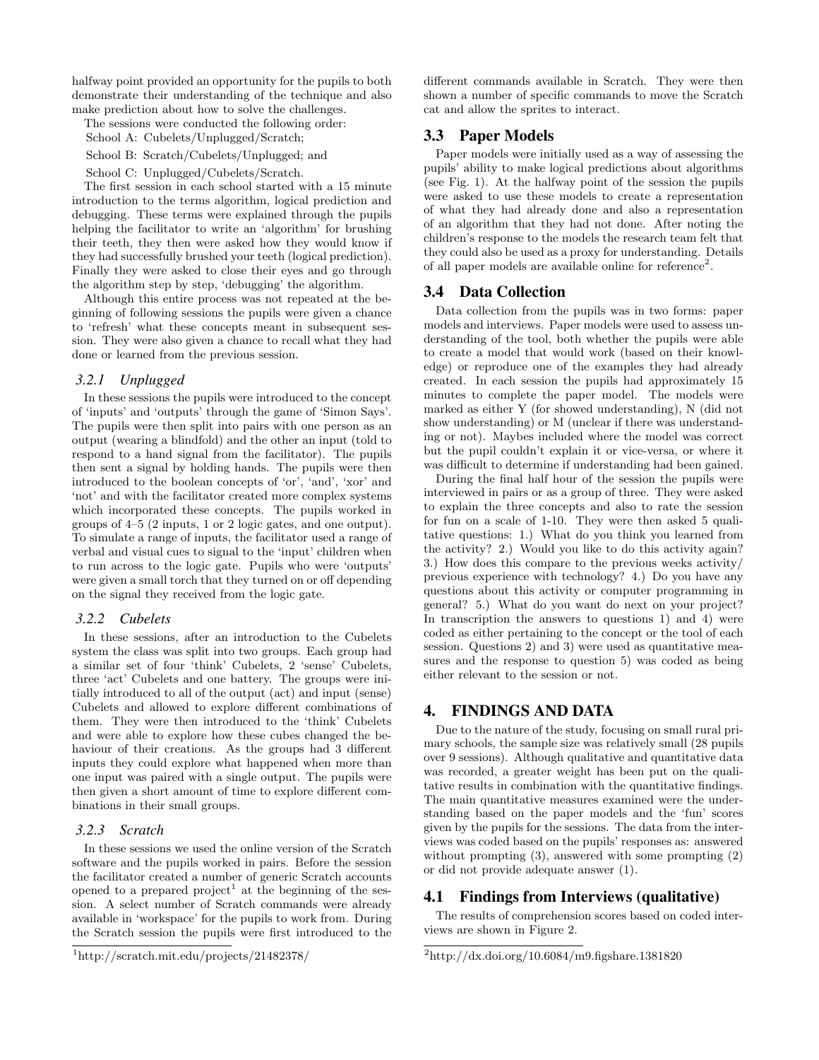halfway point provided an opportunity for the pupils to both demonstrate their understanding of the technique and also make prediction about how to solve the challenges.

The sessions were conducted the following order:

- School A: Cubelets/Unplugged/Scratch;
- School B: Scratch/Cubelets/Unplugged; and
- School C: Unplugged/Cubelets/Scratch.

The first session in each school started with a 15 minute introduction to the terms algorithm, logical prediction and debugging. These terms were explained through the pupils helping the facilitator to write an 'algorithm' for brushing their teeth, they then were asked how they would know if they had successfully brushed your teeth (logical prediction). Finally they were asked to close their eyes and go through the algorithm step by step, 'debugging' the algorithm.

Although this entire process was not repeated at the beginning of following sessions the pupils were given a chance to 'refresh' what these concepts meant in subsequent session. They were also given a chance to recall what they had done or learned from the previous session.

#### *3.2.1 Unplugged*

In these sessions the pupils were introduced to the concept of 'inputs' and 'outputs' through the game of 'Simon Says'. The pupils were then split into pairs with one person as an output (wearing a blindfold) and the other an input (told to respond to a hand signal from the facilitator). The pupils then sent a signal by holding hands. The pupils were then introduced to the boolean concepts of 'or', 'and', 'xor' and 'not' and with the facilitator created more complex systems which incorporated these concepts. The pupils worked in groups of 4–5 (2 inputs, 1 or 2 logic gates, and one output). To simulate a range of inputs, the facilitator used a range of verbal and visual cues to signal to the 'input' children when to run across to the logic gate. Pupils who were 'outputs' were given a small torch that they turned on or off depending on the signal they received from the logic gate.

#### *3.2.2 Cubelets*

In these sessions, after an introduction to the Cubelets system the class was split into two groups. Each group had a similar set of four 'think' Cubelets, 2 'sense' Cubelets, three 'act' Cubelets and one battery. The groups were initially introduced to all of the output (act) and input (sense) Cubelets and allowed to explore different combinations of them. They were then introduced to the 'think' Cubelets and were able to explore how these cubes changed the behaviour of their creations. As the groups had 3 different inputs they could explore what happened when more than one input was paired with a single output. The pupils were then given a short amount of time to explore different combinations in their small groups.

#### *3.2.3 Scratch*

In these sessions we used the online version of the Scratch software and the pupils worked in pairs. Before the session the facilitator created a number of generic Scratch accounts opened to a prepared  $project<sup>1</sup>$  at the beginning of the session. A select number of Scratch commands were already available in 'workspace' for the pupils to work from. During the Scratch session the pupils were first introduced to the different commands available in Scratch. They were then shown a number of specific commands to move the Scratch cat and allow the sprites to interact.

#### 3.3 Paper Models

Paper models were initially used as a way of assessing the pupils' ability to make logical predictions about algorithms (see Fig. 1). At the halfway point of the session the pupils were asked to use these models to create a representation of what they had already done and also a representation of an algorithm that they had not done. After noting the children's response to the models the research team felt that they could also be used as a proxy for understanding. Details of all paper models are available online for reference<sup>2</sup>.

#### 3.4 Data Collection

Data collection from the pupils was in two forms: paper models and interviews. Paper models were used to assess understanding of the tool, both whether the pupils were able to create a model that would work (based on their knowledge) or reproduce one of the examples they had already created. In each session the pupils had approximately 15 minutes to complete the paper model. The models were marked as either Y (for showed understanding), N (did not show understanding) or M (unclear if there was understanding or not). Maybes included where the model was correct but the pupil couldn't explain it or vice-versa, or where it was difficult to determine if understanding had been gained.

During the final half hour of the session the pupils were interviewed in pairs or as a group of three. They were asked to explain the three concepts and also to rate the session for fun on a scale of 1-10. They were then asked 5 qualitative questions: 1.) What do you think you learned from the activity? 2.) Would you like to do this activity again? 3.) How does this compare to the previous weeks activity/ previous experience with technology? 4.) Do you have any questions about this activity or computer programming in general? 5.) What do you want do next on your project? In transcription the answers to questions 1) and 4) were coded as either pertaining to the concept or the tool of each session. Questions 2) and 3) were used as quantitative measures and the response to question 5) was coded as being either relevant to the session or not.

## 4. FINDINGS AND DATA

Due to the nature of the study, focusing on small rural primary schools, the sample size was relatively small (28 pupils over 9 sessions). Although qualitative and quantitative data was recorded, a greater weight has been put on the qualitative results in combination with the quantitative findings. The main quantitative measures examined were the understanding based on the paper models and the 'fun' scores given by the pupils for the sessions. The data from the interviews was coded based on the pupils' responses as: answered without prompting (3), answered with some prompting (2) or did not provide adequate answer (1).

## 4.1 Findings from Interviews (qualitative)

The results of comprehension scores based on coded interviews are shown in Figure 2.

<sup>1</sup>http://scratch.mit.edu/projects/21482378/

 $\mu^2$ http://dx.doi.org/10.6084/m9.figshare.1381820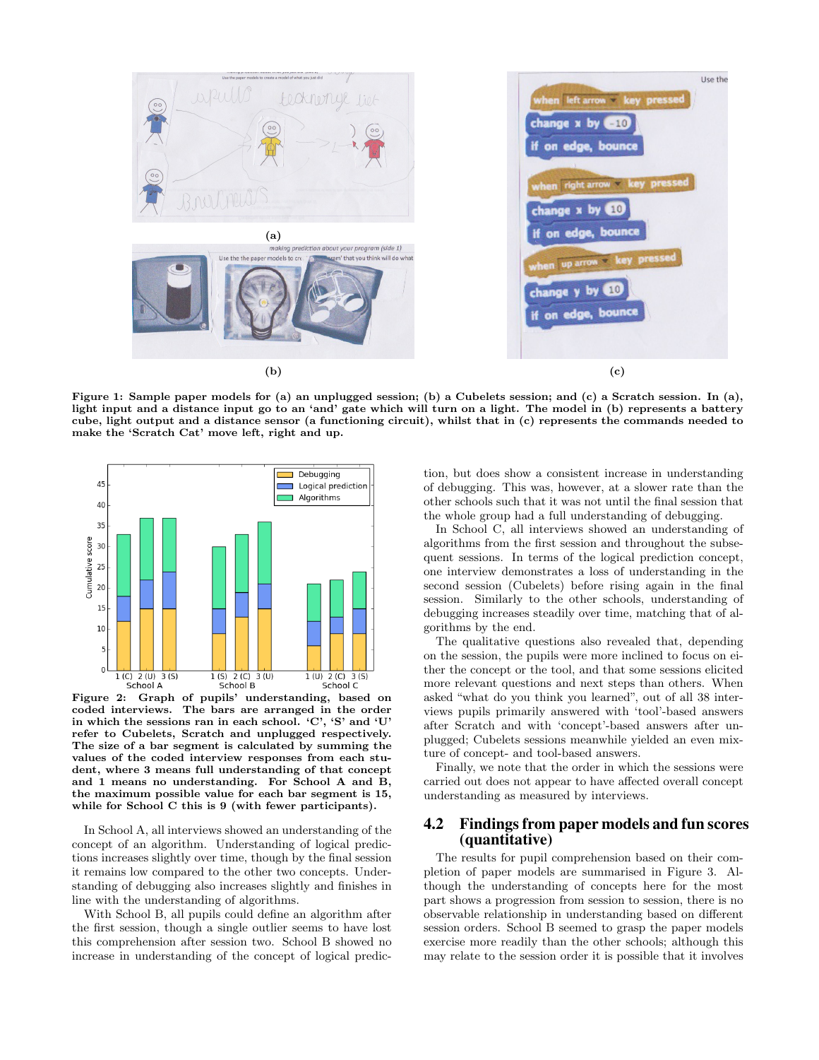

Figure 1: Sample paper models for (a) an unplugged session; (b) a Cubelets session; and (c) a Scratch session. In (a), light input and a distance input go to an 'and' gate which will turn on a light. The model in (b) represents a battery cube, light output and a distance sensor (a functioning circuit), whilst that in (c) represents the commands needed to make the 'Scratch Cat' move left, right and up.



Figure 2: Graph of pupils' understanding, based on coded interviews. The bars are arranged in the order in which the sessions ran in each school. 'C', 'S' and 'U' refer to Cubelets, Scratch and unplugged respectively. The size of a bar segment is calculated by summing the values of the coded interview responses from each student, where 3 means full understanding of that concept and 1 means no understanding. For School A and B, the maximum possible value for each bar segment is 15, while for School C this is 9 (with fewer participants).

In School A, all interviews showed an understanding of the concept of an algorithm. Understanding of logical predictions increases slightly over time, though by the final session it remains low compared to the other two concepts. Understanding of debugging also increases slightly and finishes in line with the understanding of algorithms.

With School B, all pupils could define an algorithm after the first session, though a single outlier seems to have lost this comprehension after session two. School B showed no increase in understanding of the concept of logical prediction, but does show a consistent increase in understanding of debugging. This was, however, at a slower rate than the other schools such that it was not until the final session that the whole group had a full understanding of debugging.

In School C, all interviews showed an understanding of algorithms from the first session and throughout the subsequent sessions. In terms of the logical prediction concept, one interview demonstrates a loss of understanding in the second session (Cubelets) before rising again in the final session. Similarly to the other schools, understanding of debugging increases steadily over time, matching that of algorithms by the end.

The qualitative questions also revealed that, depending on the session, the pupils were more inclined to focus on either the concept or the tool, and that some sessions elicited more relevant questions and next steps than others. When asked "what do you think you learned", out of all 38 interviews pupils primarily answered with 'tool'-based answers after Scratch and with 'concept'-based answers after unplugged; Cubelets sessions meanwhile yielded an even mixture of concept- and tool-based answers.

Finally, we note that the order in which the sessions were carried out does not appear to have affected overall concept understanding as measured by interviews.

## 4.2 Findings from paper models and fun scores (quantitative)

The results for pupil comprehension based on their completion of paper models are summarised in Figure 3. Although the understanding of concepts here for the most part shows a progression from session to session, there is no observable relationship in understanding based on different session orders. School B seemed to grasp the paper models exercise more readily than the other schools; although this may relate to the session order it is possible that it involves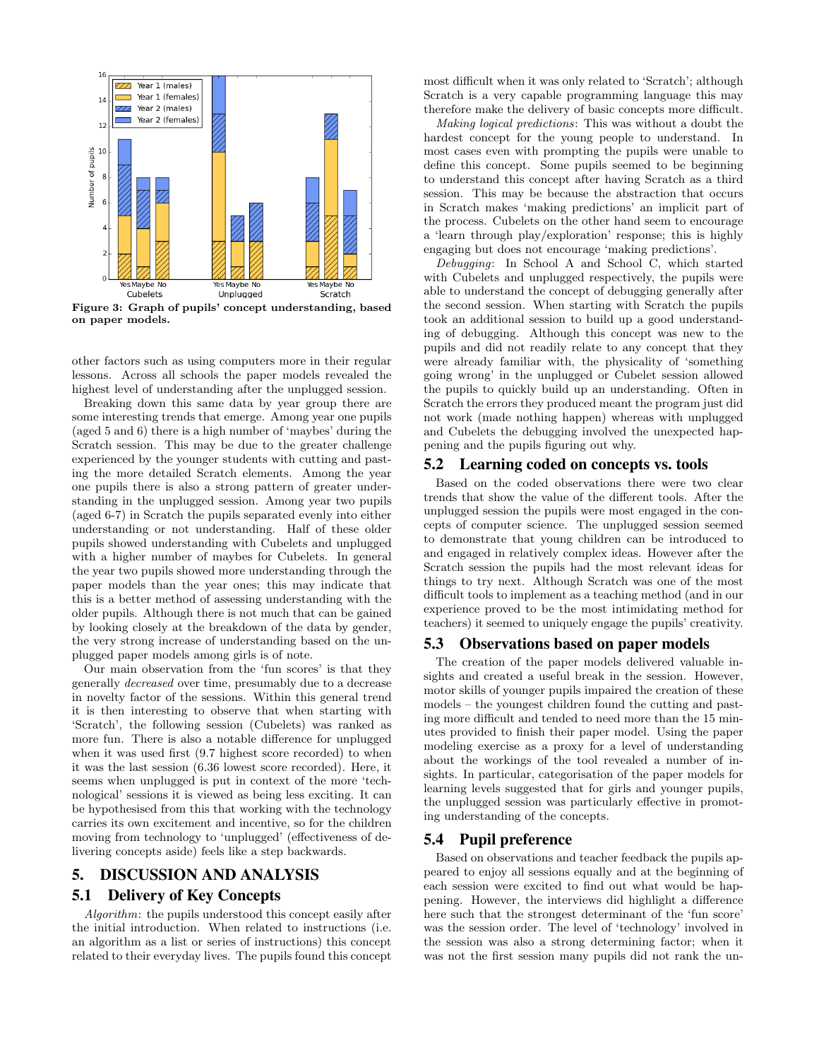

Figure 3: Graph of pupils' concept understanding, based on paper models.

other factors such as using computers more in their regular lessons. Across all schools the paper models revealed the highest level of understanding after the unplugged session.

Breaking down this same data by year group there are some interesting trends that emerge. Among year one pupils (aged 5 and 6) there is a high number of 'maybes' during the Scratch session. This may be due to the greater challenge experienced by the younger students with cutting and pasting the more detailed Scratch elements. Among the year one pupils there is also a strong pattern of greater understanding in the unplugged session. Among year two pupils (aged 6-7) in Scratch the pupils separated evenly into either understanding or not understanding. Half of these older pupils showed understanding with Cubelets and unplugged with a higher number of maybes for Cubelets. In general the year two pupils showed more understanding through the paper models than the year ones; this may indicate that this is a better method of assessing understanding with the older pupils. Although there is not much that can be gained by looking closely at the breakdown of the data by gender, the very strong increase of understanding based on the unplugged paper models among girls is of note.

Our main observation from the 'fun scores' is that they generally decreased over time, presumably due to a decrease in novelty factor of the sessions. Within this general trend it is then interesting to observe that when starting with 'Scratch', the following session (Cubelets) was ranked as more fun. There is also a notable difference for unplugged when it was used first (9.7 highest score recorded) to when it was the last session (6.36 lowest score recorded). Here, it seems when unplugged is put in context of the more 'technological' sessions it is viewed as being less exciting. It can be hypothesised from this that working with the technology carries its own excitement and incentive, so for the children moving from technology to 'unplugged' (effectiveness of delivering concepts aside) feels like a step backwards.

## 5. DISCUSSION AND ANALYSIS 5.1 Delivery of Key Concepts

Algorithm: the pupils understood this concept easily after the initial introduction. When related to instructions (i.e. an algorithm as a list or series of instructions) this concept related to their everyday lives. The pupils found this concept most difficult when it was only related to 'Scratch'; although Scratch is a very capable programming language this may therefore make the delivery of basic concepts more difficult.

Making logical predictions: This was without a doubt the hardest concept for the young people to understand. In most cases even with prompting the pupils were unable to define this concept. Some pupils seemed to be beginning to understand this concept after having Scratch as a third session. This may be because the abstraction that occurs in Scratch makes 'making predictions' an implicit part of the process. Cubelets on the other hand seem to encourage a 'learn through play/exploration' response; this is highly engaging but does not encourage 'making predictions'.

Debugging: In School A and School C, which started with Cubelets and unplugged respectively, the pupils were able to understand the concept of debugging generally after the second session. When starting with Scratch the pupils took an additional session to build up a good understanding of debugging. Although this concept was new to the pupils and did not readily relate to any concept that they were already familiar with, the physicality of 'something going wrong' in the unplugged or Cubelet session allowed the pupils to quickly build up an understanding. Often in Scratch the errors they produced meant the program just did not work (made nothing happen) whereas with unplugged and Cubelets the debugging involved the unexpected happening and the pupils figuring out why.

## 5.2 Learning coded on concepts vs. tools

Based on the coded observations there were two clear trends that show the value of the different tools. After the unplugged session the pupils were most engaged in the concepts of computer science. The unplugged session seemed to demonstrate that young children can be introduced to and engaged in relatively complex ideas. However after the Scratch session the pupils had the most relevant ideas for things to try next. Although Scratch was one of the most difficult tools to implement as a teaching method (and in our experience proved to be the most intimidating method for teachers) it seemed to uniquely engage the pupils' creativity.

## 5.3 Observations based on paper models

The creation of the paper models delivered valuable insights and created a useful break in the session. However, motor skills of younger pupils impaired the creation of these models – the youngest children found the cutting and pasting more difficult and tended to need more than the 15 minutes provided to finish their paper model. Using the paper modeling exercise as a proxy for a level of understanding about the workings of the tool revealed a number of insights. In particular, categorisation of the paper models for learning levels suggested that for girls and younger pupils, the unplugged session was particularly effective in promoting understanding of the concepts.

#### 5.4 Pupil preference

Based on observations and teacher feedback the pupils appeared to enjoy all sessions equally and at the beginning of each session were excited to find out what would be happening. However, the interviews did highlight a difference here such that the strongest determinant of the 'fun score' was the session order. The level of 'technology' involved in the session was also a strong determining factor; when it was not the first session many pupils did not rank the un